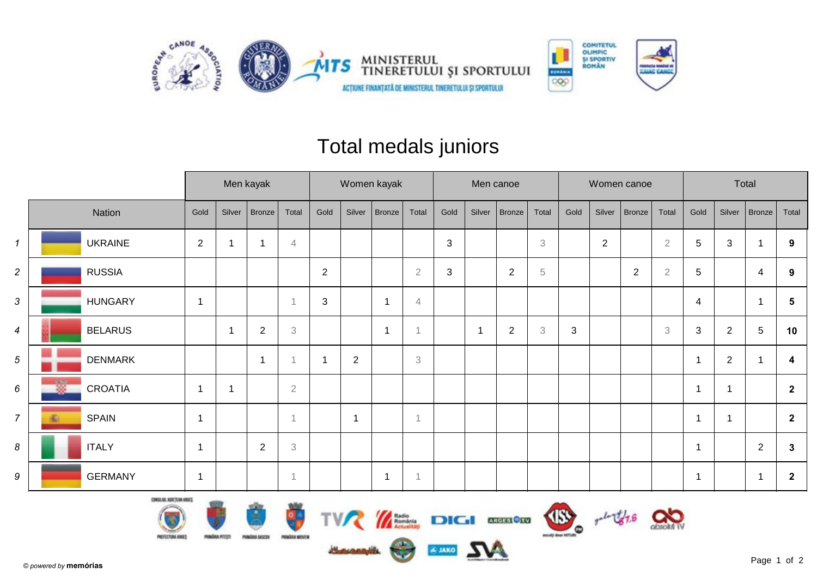



## Total medals juniors

|                  |                     |                |        | Men kayak      |                | Women kayak    |            |              |                           |      |                | Men canoe      |                           |      |              | Women canoe    |                           | Total          |                |                |                |  |
|------------------|---------------------|----------------|--------|----------------|----------------|----------------|------------|--------------|---------------------------|------|----------------|----------------|---------------------------|------|--------------|----------------|---------------------------|----------------|----------------|----------------|----------------|--|
|                  | Nation              | Gold           | Silver | Bronze         | Total          | Gold           | Silver     | Bronze       | Total                     | Gold | Silver         | Bronze         | Total                     | Gold | Silver       | Bronze         | Total                     | Gold           | Silver         | Bronze         | Total          |  |
| $\mathcal I$     | <b>UKRAINE</b>      | 2              | 1      | ٠              | 4              |                |            |              |                           | 3    |                |                | $\ensuremath{\mathsf{3}}$ |      | $\mathbf{2}$ |                | $\overline{2}$            | 5              | 3              |                | 9              |  |
| $\overline{a}$   | <b>RUSSIA</b>       |                |        |                |                | $\overline{2}$ |            |              | $\overline{2}$            | 3    |                | $\overline{2}$ | $\,$ 5 $\,$               |      |              | $\overline{2}$ | $\overline{2}$            | $\sqrt{5}$     |                | 4              | 9              |  |
| $\mathfrak{S}$   | <b>HUNGARY</b>      | 1              |        |                |                | 3              |            |              | 4                         |      |                |                |                           |      |              |                |                           | 4              |                |                | 5              |  |
| $\boldsymbol{4}$ | <b>BELARUS</b>      |                | 1      | $\overline{2}$ | 3              |                |            |              | $\overline{A}$            |      | $\overline{1}$ | $\overline{2}$ | $\ensuremath{\mathsf{3}}$ | 3    |              |                | $\ensuremath{\mathsf{3}}$ | 3              | $\overline{2}$ | 5              | 10             |  |
| 5 <sup>5</sup>   | <b>DENMARK</b>      |                |        | -1             |                | $\mathbf 1$    | $\sqrt{2}$ |              | $\ensuremath{\mathsf{3}}$ |      |                |                |                           |      |              |                |                           | $\overline{1}$ | $\overline{2}$ |                | 4              |  |
| 6                | 嫐<br><b>CROATIA</b> | -1             | -1     |                | $\overline{2}$ |                |            |              |                           |      |                |                |                           |      |              |                |                           | 1              | 1              |                | $\overline{2}$ |  |
| $\overline{7}$   | <b>SPAIN</b><br>Đ   | -1             |        |                | $\overline{1}$ |                | -1         |              | 1                         |      |                |                |                           |      |              |                |                           | $\mathbf{1}$   | $\mathbf 1$    |                | $\overline{2}$ |  |
| 8                | <b>ITALY</b>        | $\mathbf 1$    |        | $\sqrt{2}$     | 3              |                |            |              |                           |      |                |                |                           |      |              |                |                           | $\overline{1}$ |                | $\overline{2}$ | 3              |  |
| 9                | <b>GERMANY</b>      | $\overline{1}$ |        |                |                |                |            | $\mathbf{1}$ | -1                        |      |                |                |                           |      |              |                |                           | $\overline{1}$ |                | $\mathbf 1$    | $\mathbf{2}$   |  |











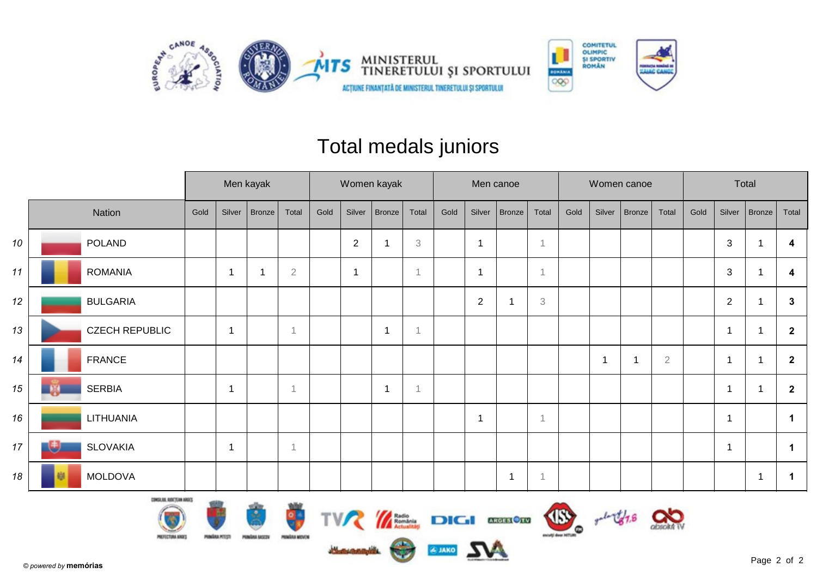



## Total medals juniors

|        |                       |      | Men kayak |        |                | Women kayak |             |              |       |      |                         | Men canoe      |                           |      |        | Women canoe |                | Total |                |                |                |
|--------|-----------------------|------|-----------|--------|----------------|-------------|-------------|--------------|-------|------|-------------------------|----------------|---------------------------|------|--------|-------------|----------------|-------|----------------|----------------|----------------|
|        | Nation                | Gold | Silver    | Bronze | Total          | Gold        | Silver      | Bronze       | Total | Gold | Silver                  | <b>Bronze</b>  | Total                     | Gold | Silver | Bronze      | Total          | Gold  | Silver         | Bronze         | Total          |
| 10     | <b>POLAND</b>         |      |           |        |                |             | $\sqrt{2}$  |              | 3     |      | $\overline{\mathbf{1}}$ |                | $\overline{1}$            |      |        |             |                |       | 3              |                | 4              |
| 11     | <b>ROMANIA</b>        |      |           | 1      | $\overline{2}$ |             | $\mathbf 1$ |              |       |      | $\mathbf 1$             |                | $\mathbf 1$               |      |        |             |                |       | $\mathbf{3}$   | f              | 4              |
| 12     | <b>BULGARIA</b>       |      |           |        |                |             |             |              |       |      | $\overline{c}$          |                | $\ensuremath{\mathbf{3}}$ |      |        |             |                |       | $\overline{2}$ |                | $\mathbf{3}$   |
| 13     | <b>CZECH REPUBLIC</b> |      |           |        | -1             |             |             | 1            |       |      |                         |                |                           |      |        |             |                |       | 1              |                | $\mathbf{2}$   |
| 14     | <b>FRANCE</b>         |      |           |        |                |             |             |              |       |      |                         |                |                           |      |        | 1           | $\overline{2}$ |       | $\overline{1}$ | ٠              | $\overline{2}$ |
| 15     | <b>SERBIA</b>         |      |           |        | -1             |             |             | $\mathbf{1}$ |       |      |                         |                |                           |      |        |             |                |       | 1              |                | $\overline{2}$ |
| 16     | LITHUANIA             |      |           |        |                |             |             |              |       |      | -1                      |                | 1                         |      |        |             |                |       | 1              |                | $\mathbf 1$    |
| $17\,$ | <b>SLOVAKIA</b>       |      |           |        | $\overline{1}$ |             |             |              |       |      |                         |                |                           |      |        |             |                |       | 1              |                | -1             |
| 18     | <b>MOLDOVA</b>        |      |           |        |                |             |             |              |       |      |                         | $\overline{1}$ | $\mathbf 1$               |      |        |             |                |       |                | $\overline{1}$ | -1             |



 $rac{1}{\sqrt{1-\frac{1}{2}}\sqrt{1-\frac{1}{2}}\sqrt{1-\frac{1}{2}}\sqrt{1-\frac{1}{2}}\sqrt{1-\frac{1}{2}}\sqrt{1-\frac{1}{2}}\sqrt{1-\frac{1}{2}}\sqrt{1-\frac{1}{2}}\sqrt{1-\frac{1}{2}}\sqrt{1-\frac{1}{2}}\sqrt{1-\frac{1}{2}}\sqrt{1-\frac{1}{2}}\sqrt{1-\frac{1}{2}}\sqrt{1-\frac{1}{2}}\sqrt{1-\frac{1}{2}}\sqrt{1-\frac{1}{2}}\sqrt{1-\frac{1}{2}}\sqrt{1-\frac{1}{2}}\sqrt{1-\frac{1}{2}}\sqrt{1-\frac{$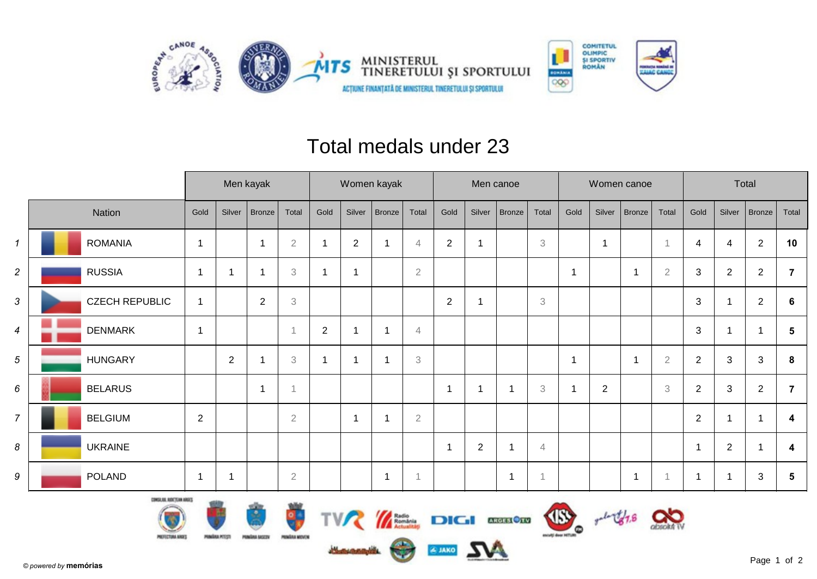



## Total medals under 23

|                |                       |                |                | Men kayak      |                | Women kayak    |                         |                |                |                          |                | Men canoe     |                           |      |                          | Women canoe    |                           | Total                     |              |                |                |  |
|----------------|-----------------------|----------------|----------------|----------------|----------------|----------------|-------------------------|----------------|----------------|--------------------------|----------------|---------------|---------------------------|------|--------------------------|----------------|---------------------------|---------------------------|--------------|----------------|----------------|--|
|                | Nation                | Gold           | Silver         | Bronze         | Total          | Gold           | Silver                  | <b>Bronze</b>  | Total          | Gold                     | Silver         | <b>Bronze</b> | Total                     | Gold | Silver                   | Bronze         | Total                     | Gold                      | Silver       | $ $ Bronze $ $ | Total          |  |
| $\mathcal{I}$  | <b>ROMANIA</b>        | -1             |                | -1             | $\overline{2}$ | $\mathbf 1$    | $\sqrt{2}$              |                | 4              | $\overline{2}$           |                |               | $\ensuremath{\mathbf{3}}$ |      | $\overline{\phantom{a}}$ |                |                           | 4                         | 4            | $\overline{2}$ | 10             |  |
| $\overline{2}$ | <b>RUSSIA</b>         | -1             | 1              |                | 3              | $\mathbf{1}$   | ٠                       |                | $\overline{2}$ |                          |                |               |                           |      |                          | $\overline{1}$ | $\overline{2}$            | $\sqrt{3}$                | $\mathbf{2}$ | $\overline{2}$ | $\overline{7}$ |  |
| 3              | <b>CZECH REPUBLIC</b> | $\mathbf 1$    |                | $\overline{2}$ | 3              |                |                         |                |                | $\overline{2}$           |                |               | $\ensuremath{\mathsf{3}}$ |      |                          |                |                           | $\sqrt{3}$                |              | $\overline{2}$ | 6              |  |
| $\overline{4}$ | <b>DENMARK</b>        | $\overline{1}$ |                |                |                | $\overline{2}$ |                         |                | $\overline{4}$ |                          |                |               |                           |      |                          |                |                           | $\ensuremath{\mathsf{3}}$ |              |                | 5              |  |
| 5              | <b>HUNGARY</b>        |                | $\overline{2}$ |                | 3              | $\mathbf 1$    | -1                      |                | 3              |                          |                |               |                           |      |                          | $\mathbf{1}$   | $\sqrt{2}$                | $\sqrt{2}$                | 3            | 3              | 8              |  |
| 6              | <b>BELARUS</b>        |                |                | ÷,             |                |                |                         |                |                | 1                        |                | 1             | $\ensuremath{\mathsf{3}}$ |      | 2                        |                | $\ensuremath{\mathsf{3}}$ | $\overline{2}$            | 3            | $\overline{2}$ | $\overline{7}$ |  |
| $\overline{7}$ | <b>BELGIUM</b>        | $\mathbf{2}$   |                |                | $\overline{2}$ |                | $\overline{\mathbf{1}}$ |                | $\sqrt{2}$     |                          |                |               |                           |      |                          |                |                           | $\overline{2}$            | 1            |                | 4              |  |
| 8              | <b>UKRAINE</b>        |                |                |                |                |                |                         |                |                | $\overline{\phantom{a}}$ | $\overline{2}$ | 1             | $\overline{4}$            |      |                          |                |                           | $\overline{1}$            | $\mathbf 2$  |                | 4              |  |
| 9              | <b>POLAND</b>         | -1             | -1             |                | $\sqrt{2}$     |                |                         | $\overline{1}$ | $\overline{A}$ |                          |                | $\mathbf{1}$  | $\mathbf 1$               |      |                          | $\mathbf{1}$   |                           | $\overline{\mathbf{1}}$   | 1            | 3              | 5              |  |













Œ esculpt door Hilfurt